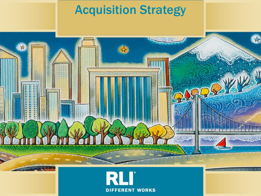## Acquisition Strategy

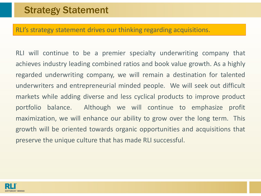#### RLI's strategy statement drives our thinking regarding acquisitions.

RLI will continue to be a premier specialty underwriting company that achieves industry leading combined ratios and book value growth. As a highly regarded underwriting company, we will remain a destination for talented underwriters and entrepreneurial minded people. We will seek out difficult markets while adding diverse and less cyclical products to improve product portfolio balance. Although we will continue to emphasize profit maximization, we will enhance our ability to grow over the long term. This growth will be oriented towards organic opportunities and acquisitions that preserve the unique culture that has made RLI successful.

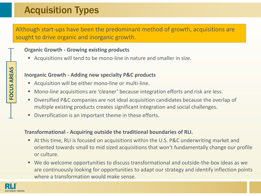### Acquisition Types

Although start-ups have been the predominant method of growth, acquisitions are sought to drive organic and inorganic growth.

#### **Organic Growth - Growing existing products**

Acquisitions will tend to be mono-line in nature and smaller in size.

#### **Inorganic Growth - Adding new specialty P&C products**

- Acquisition will be either mono-line or multi-line.
- **Mono-line acquisitions are 'cleaner' because integration efforts and risk are less.**
- Diversified P&C companies are not ideal acquisition candidates because the overlap of multiple existing products creates significant integration and social challenges.
- Diversification is an important theme in these efforts.

#### **Transformational - Acquiring outside the traditional boundaries of RLI.**

- At this time, RLI is focused on acquisitions within the U.S. P&C underwriting market and oriented towards small to mid sized acquisitions that won't fundamentally change our profile or culture.
- We do welcome opportunities to discuss transformational and outside-the-box ideas as we are continuously looking for opportunities to adapt our strategy and identify inflection points where a transformation would make sense.



FOCUS AREAS **FOCUS AREAS**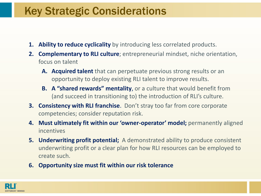### Key Strategic Considerations

- **1. Ability to reduce cyclicality** by introducing less correlated products.
- **2. Complementary to RLI culture**; entrepreneurial mindset, niche orientation, focus on talent
	- **A. Acquired talent** that can perpetuate previous strong results or an opportunity to deploy existing RLI talent to improve results.
	- **B. A "shared rewards" mentality**, or a culture that would benefit from (and succeed in transitioning to) the introduction of RLI's culture.
- **3. Consistency with RLI franchise**. Don't stray too far from core corporate competencies; consider reputation risk.
- **4. Must ultimately fit within our 'owner-operator' model;** permanently aligned incentives
- **5. Underwriting profit potential;** A demonstrated ability to produce consistent underwriting profit or a clear plan for how RLI resources can be employed to create such.
- **6. Opportunity size must fit within our risk tolerance**

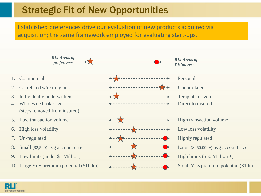### Strategic Fit of New Opportunities

Established preferences drive our evaluation of new products acquired via acquisition; the same framework employed for evaluating start-ups.

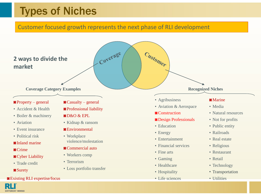### Types of Niches

#### Customer focused growth represents the next phase of RLI development

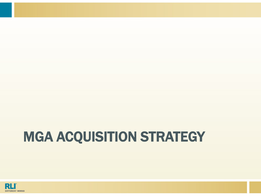# MGA ACQUISITION STRATEGY

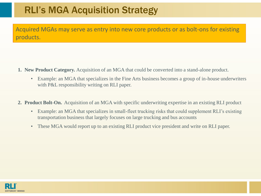### RLI's MGA Acquisition Strategy

Acquired MGAs may serve as entry into new core products or as bolt-ons for existing products.

- **1. New Product Category.** Acquisition of an MGA that could be converted into a stand-alone product.
	- Example: an MGA that specializes in the Fine Arts business becomes a group of in-house underwriters with P&L responsibility writing on RLI paper.
- **2. Product Bolt-On.** Acquisition of an MGA with specific underwriting expertise in an existing RLI product
	- Example: an MGA that specializes in small-fleet trucking risks that could supplement RLI's existing transportation business that largely focuses on large trucking and bus accounts
	- These MGA would report up to an existing RLI product vice president and write on RLI paper.

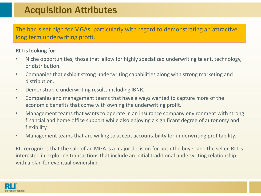### Acquisition Attributes

The bar is set high for MGAs, particularly with regard to demonstrating an attractive long term underwriting profit.

#### **RLI is looking for:**

- Niche opportunities; those that allow for highly specialized underwriting talent, technology, or distribution.
- Companies that exhibit strong underwriting capabilities along with strong marketing and distribution.
- Demonstrable underwriting results including IBNR.
- Companies and management teams that have always wanted to capture more of the economic benefits that come with owning the underwriting profit.
- Management teams that wants to operate in an insurance company environment with strong financial and home office support while also enjoying a significant degree of autonomy and flexibility.
- Management teams that are willing to accept accountability for underwriting profitability.

RLI recognizes that the sale of an MGA is a major decision for both the buyer and the seller. RLI is interested in exploring transactions that include an initial traditional underwriting relationship with a plan for eventual ownership.